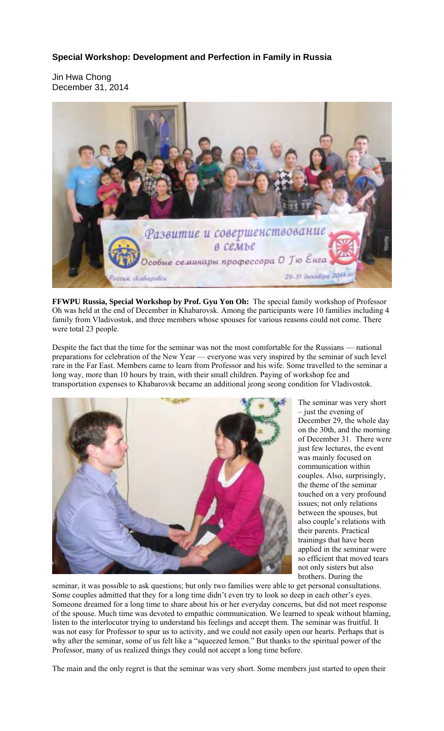## **Special Workshop: Development and Perfection in Family in Russia**

Jin Hwa Chong December 31, 2014



**FFWPU Russia, Special Workshop by Prof. Gyu Yon Oh:** The special family workshop of Professor Oh was held at the end of December in Khabarovsk. Among the participants were 10 families including 4 family from Vladivostok, and three members whose spouses for various reasons could not come. There were total 23 people.

Despite the fact that the time for the seminar was not the most comfortable for the Russians — national preparations for celebration of the New Year — everyone was very inspired by the seminar of such level rare in the Far East. Members came to learn from Professor and his wife. Some travelled to the seminar a long way, more than 10 hours by train, with their small children. Paying of workshop fee and transportation expenses to Khabarovsk became an additional jeong seong condition for Vladivostok.



The seminar was very short – just the evening of December 29, the whole day on the 30th, and the morning of December 31. There were just few lectures, the event was mainly focused on communication within couples. Also, surprisingly, the theme of the seminar touched on a very profound issues; not only relations between the spouses, but also couple's relations with their parents. Practical trainings that have been applied in the seminar were so efficient that moved tears not only sisters but also brothers. During the

seminar, it was possible to ask questions; but only two families were able to get personal consultations. Some couples admitted that they for a long time didn't even try to look so deep in each other's eyes. Someone dreamed for a long time to share about his or her everyday concerns, but did not meet response of the spouse. Much time was devoted to empathic communication. We learned to speak without blaming, listen to the interlocutor trying to understand his feelings and accept them. The seminar was fruitful. It was not easy for Professor to spur us to activity, and we could not easily open our hearts. Perhaps that is why after the seminar, some of us felt like a "squeezed lemon." But thanks to the spiritual power of the Professor, many of us realized things they could not accept a long time before.

The main and the only regret is that the seminar was very short. Some members just started to open their